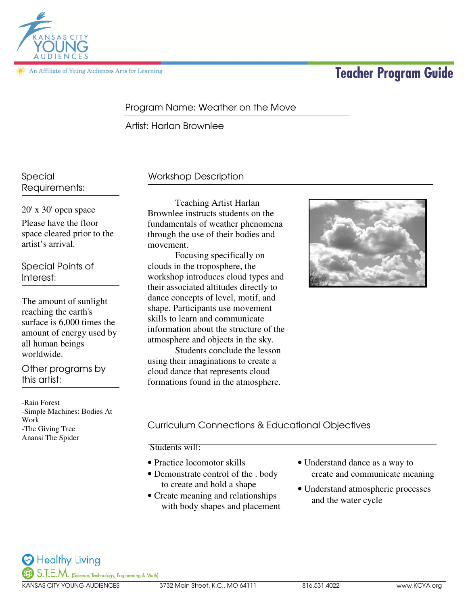

An Affiliate of Young Audiences Arts for Learning

# **Teacher Program Guide**

### Program Name: Weather on the Move

Artist: Harlan Brownlee

Special Requirements:

20' x 30' open space Please have the floor space cleared prior to the artist's arrival.

Special Points of Interest:

The amount of sunlight reaching the earth's surface is 6,000 times the amount of energy used by all human beings worldwide.

Other programs by this artist:

-Rain Forest -Simple Machines: Bodies At Work -The Giving Tree Anansi The Spider

## Workshop Description

 Teaching Artist Harlan Brownlee instructs students on the fundamentals of weather phenomena through the use of their bodies and movement.

Focusing specifically on clouds in the troposphere, the workshop introduces cloud types and their associated altitudes directly to dance concepts of level, motif, and shape. Participants use movement skills to learn and communicate information about the structure of the atmosphere and objects in the sky.

Students conclude the lesson using their imaginations to create a cloud dance that represents cloud formations found in the atmosphere.



## Curriculum Connections & Educational Objectives

Students will:

- Practice locomotor skills
- Demonstrate control of the . body to create and hold a shape
- Create meaning and relationships with body shapes and placement
- Understand dance as a way to create and communicate meaning
- Understand atmospheric processes and the water cycle

Healthy Living S.T.E.M. (Science, Technology, Engineering & Math)